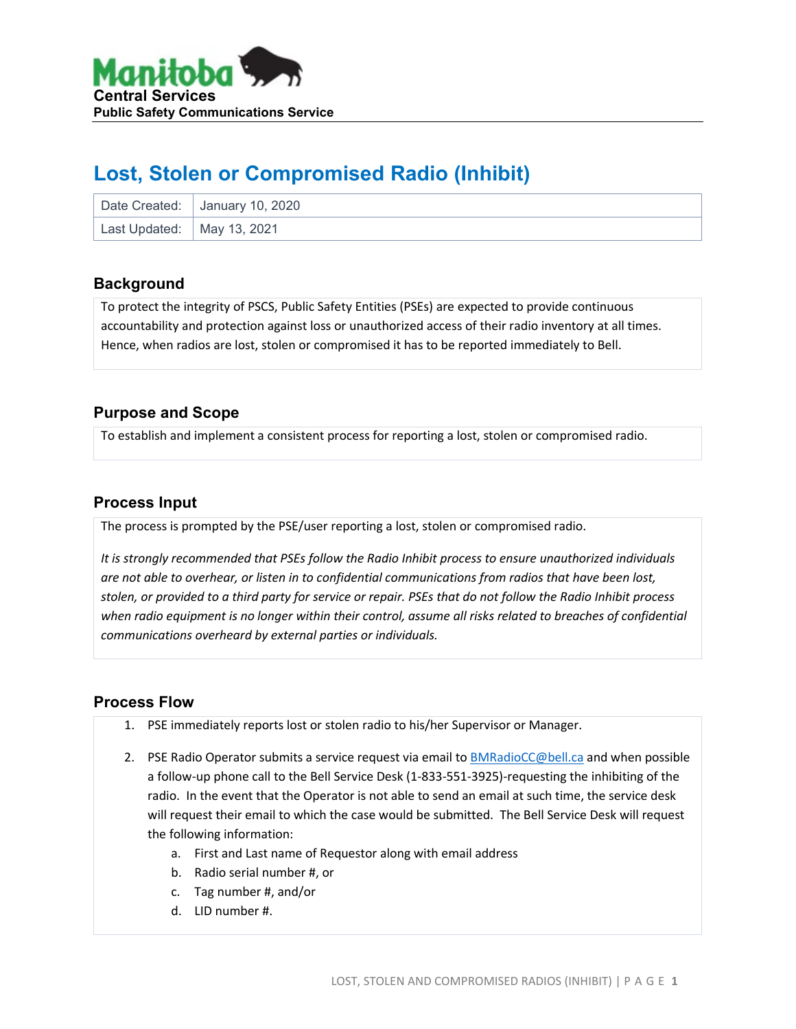

# **Lost, Stolen or Compromised Radio (Inhibit)**

|                              | Date Created: January 10, 2020 |
|------------------------------|--------------------------------|
| Last Updated:   May 13, 2021 |                                |

#### **Background**

To protect the integrity of PSCS, Public Safety Entities (PSEs) are expected to provide continuous accountability and protection against loss or unauthorized access of their radio inventory at all times. Hence, when radios are lost, stolen or compromised it has to be reported immediately to Bell.

### **Purpose and Scope**

To establish and implement a consistent process for reporting a lost, stolen or compromised radio.

#### **Process Input**

The process is prompted by the PSE/user reporting a lost, stolen or compromised radio.

*It is strongly recommended that PSEs follow the Radio Inhibit process to ensure unauthorized individuals are not able to overhear, or listen in to confidential communications from radios that have been lost, stolen, or provided to a third party for service or repair. PSEs that do not follow the Radio Inhibit process*  when radio equipment is no longer within their control, assume all risks related to breaches of confidential *communications overheard by external parties or individuals.*

#### **Process Flow**

- 1. PSE immediately reports lost or stolen radio to his/her Supervisor or Manager.
- 2. PSE Radio Operator submits a service request via email to **BMRadioCC@bell.ca** and when possible a follow-up phone call to the Bell Service Desk (1-833-551-3925)-requesting the inhibiting of the radio. In the event that the Operator is not able to send an email at such time, the service desk will request their email to which the case would be submitted. The Bell Service Desk will request the following information:
	- a. First and Last name of Requestor along with email address
	- b. Radio serial number #, or
	- c. Tag number #, and/or
	- d. LID number #.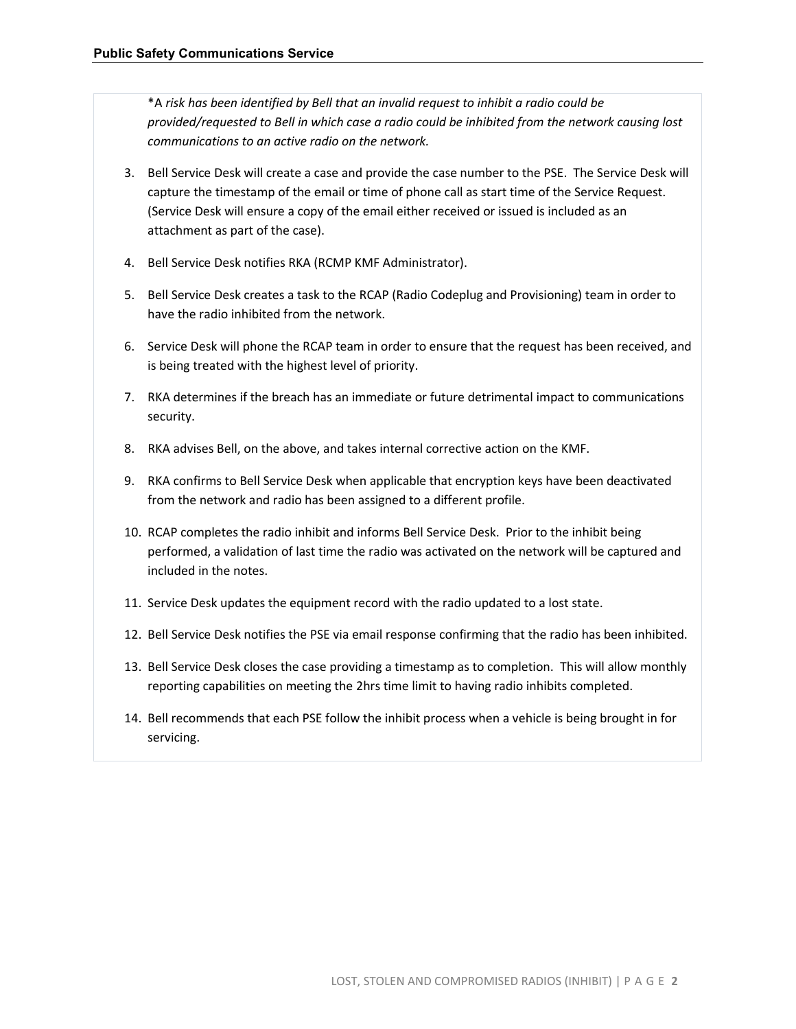\*A *risk has been identified by Bell that an invalid request to inhibit a radio could be provided/requested to Bell in which case a radio could be inhibited from the network causing lost communications to an active radio on the network.*

- 3. Bell Service Desk will create a case and provide the case number to the PSE. The Service Desk will capture the timestamp of the email or time of phone call as start time of the Service Request. (Service Desk will ensure a copy of the email either received or issued is included as an attachment as part of the case).
- 4. Bell Service Desk notifies RKA (RCMP KMF Administrator).
- 5. Bell Service Desk creates a task to the RCAP (Radio Codeplug and Provisioning) team in order to have the radio inhibited from the network.
- 6. Service Desk will phone the RCAP team in order to ensure that the request has been received, and is being treated with the highest level of priority.
- 7. RKA determines if the breach has an immediate or future detrimental impact to communications security.
- 8. RKA advises Bell, on the above, and takes internal corrective action on the KMF.
- 9. RKA confirms to Bell Service Desk when applicable that encryption keys have been deactivated from the network and radio has been assigned to a different profile.
- 10. RCAP completes the radio inhibit and informs Bell Service Desk. Prior to the inhibit being performed, a validation of last time the radio was activated on the network will be captured and included in the notes.
- 11. Service Desk updates the equipment record with the radio updated to a lost state.
- 12. Bell Service Desk notifies the PSE via email response confirming that the radio has been inhibited.
- 13. Bell Service Desk closes the case providing a timestamp as to completion. This will allow monthly reporting capabilities on meeting the 2hrs time limit to having radio inhibits completed.
- 14. Bell recommends that each PSE follow the inhibit process when a vehicle is being brought in for servicing.